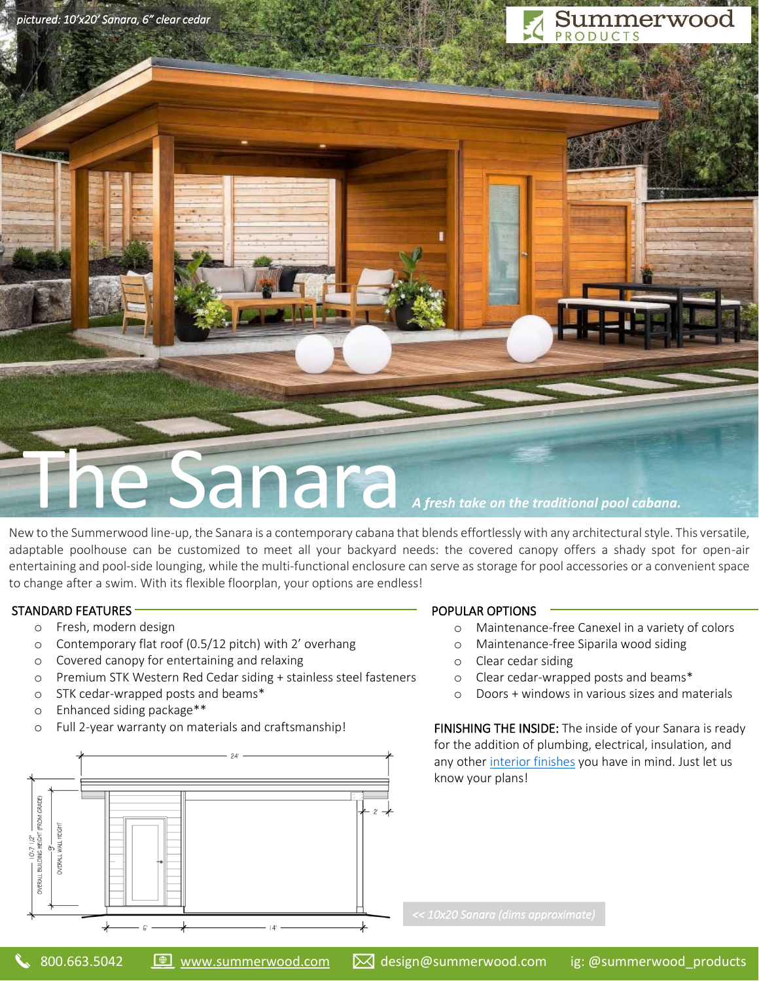*pictured: 10'x20' Sanara, 6" clear cedar* 

# **Summerwood**

# e Sanara *A fresh take on the traditional pool cabana*.

New to the Summerwood line-up, the Sanara is a contemporary cabana that blends effortlessly with any architectural style. This versatile, adaptable poolhouse can be customized to meet all your backyard needs: the covered canopy offers a shady spot for open-air entertaining and pool-side lounging, while the multi-functional enclosure can serve as storage for pool accessories or a convenient space to change after a swim. With its flexible floorplan, your options are endless!

# STANDARD FEATURES

- o Fresh, modern design
- o Contemporary flat roof (0.5/12 pitch) with 2' overhang
- o Covered canopy for entertaining and relaxing
- o Premium STK Western Red Cedar siding + stainless steel fasteners
- o STK cedar-wrapped posts and beams\*
- o Enhanced siding package\*\*
- o Full 2-year warranty on materials and craftsmanship!



#### POPULAR OPTIONS

- o Maintenance-free Canexel in a variety of colors
- o Maintenance-free Siparila wood siding
- o Clear cedar siding
- o Clear cedar-wrapped posts and beams\*
- o Doors + windows in various sizes and materials

FINISHING THE INSIDE: The inside of your Sanara is ready for the addition of plumbing, electrical, insulation, and any other [interior finishes](https://www.summerwood.com/information/interior-finishings) you have in mind. Just let us know your plans!

j